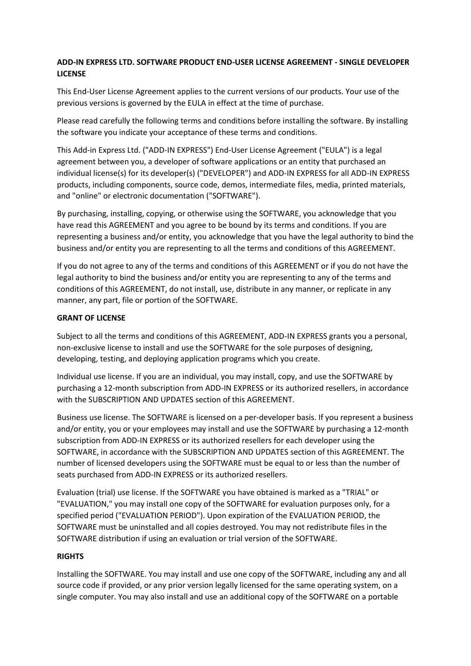# **ADD-IN EXPRESS LTD. SOFTWARE PRODUCT END-USER LICENSE AGREEMENT - SINGLE DEVELOPER LICENSE**

This End-User License Agreement applies to the current versions of our products. Your use of the previous versions is governed by the EULA in effect at the time of purchase.

Please read carefully the following terms and conditions before installing the software. By installing the software you indicate your acceptance of these terms and conditions.

This Add-in Express Ltd. ("ADD-IN EXPRESS") End-User License Agreement ("EULA") is a legal agreement between you, a developer of software applications or an entity that purchased an individual license(s) for its developer(s) ("DEVELOPER") and ADD-IN EXPRESS for all ADD-IN EXPRESS products, including components, source code, demos, intermediate files, media, printed materials, and "online" or electronic documentation ("SOFTWARE").

By purchasing, installing, copying, or otherwise using the SOFTWARE, you acknowledge that you have read this AGREEMENT and you agree to be bound by its terms and conditions. If you are representing a business and/or entity, you acknowledge that you have the legal authority to bind the business and/or entity you are representing to all the terms and conditions of this AGREEMENT.

If you do not agree to any of the terms and conditions of this AGREEMENT or if you do not have the legal authority to bind the business and/or entity you are representing to any of the terms and conditions of this AGREEMENT, do not install, use, distribute in any manner, or replicate in any manner, any part, file or portion of the SOFTWARE.

## **GRANT OF LICENSE**

Subject to all the terms and conditions of this AGREEMENT, ADD-IN EXPRESS grants you a personal, non-exclusive license to install and use the SOFTWARE for the sole purposes of designing, developing, testing, and deploying application programs which you create.

Individual use license. If you are an individual, you may install, copy, and use the SOFTWARE by purchasing a 12-month subscription from ADD-IN EXPRESS or its authorized resellers, in accordance with the SUBSCRIPTION AND UPDATES section of this AGREEMENT.

Business use license. The SOFTWARE is licensed on a per-developer basis. If you represent a business and/or entity, you or your employees may install and use the SOFTWARE by purchasing a 12-month subscription from ADD-IN EXPRESS or its authorized resellers for each developer using the SOFTWARE, in accordance with the SUBSCRIPTION AND UPDATES section of this AGREEMENT. The number of licensed developers using the SOFTWARE must be equal to or less than the number of seats purchased from ADD-IN EXPRESS or its authorized resellers.

Evaluation (trial) use license. If the SOFTWARE you have obtained is marked as a "TRIAL" or "EVALUATION," you may install one copy of the SOFTWARE for evaluation purposes only, for a specified period ("EVALUATION PERIOD"). Upon expiration of the EVALUATION PERIOD, the SOFTWARE must be uninstalled and all copies destroyed. You may not redistribute files in the SOFTWARE distribution if using an evaluation or trial version of the SOFTWARE.

# **RIGHTS**

Installing the SOFTWARE. You may install and use one copy of the SOFTWARE, including any and all source code if provided, or any prior version legally licensed for the same operating system, on a single computer. You may also install and use an additional copy of the SOFTWARE on a portable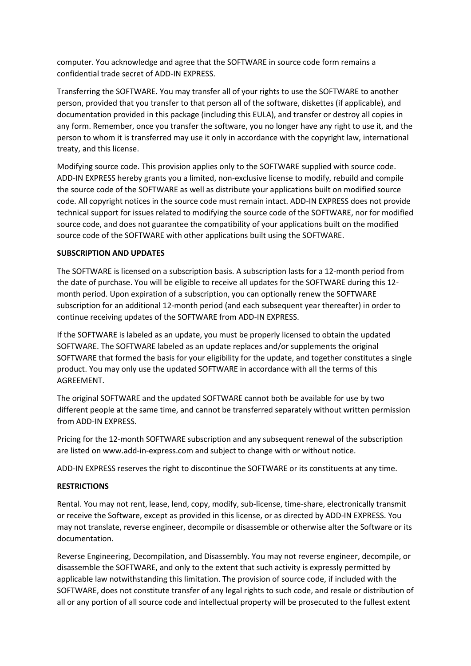computer. You acknowledge and agree that the SOFTWARE in source code form remains a confidential trade secret of ADD-IN EXPRESS.

Transferring the SOFTWARE. You may transfer all of your rights to use the SOFTWARE to another person, provided that you transfer to that person all of the software, diskettes (if applicable), and documentation provided in this package (including this EULA), and transfer or destroy all copies in any form. Remember, once you transfer the software, you no longer have any right to use it, and the person to whom it is transferred may use it only in accordance with the copyright law, international treaty, and this license.

Modifying source code. This provision applies only to the SOFTWARE supplied with source code. ADD-IN EXPRESS hereby grants you a limited, non-exclusive license to modify, rebuild and compile the source code of the SOFTWARE as well as distribute your applications built on modified source code. All copyright notices in the source code must remain intact. ADD-IN EXPRESS does not provide technical support for issues related to modifying the source code of the SOFTWARE, nor for modified source code, and does not guarantee the compatibility of your applications built on the modified source code of the SOFTWARE with other applications built using the SOFTWARE.

## **SUBSCRIPTION AND UPDATES**

The SOFTWARE is licensed on a subscription basis. A subscription lasts for a 12-month period from the date of purchase. You will be eligible to receive all updates for the SOFTWARE during this 12 month period. Upon expiration of a subscription, you can optionally renew the SOFTWARE subscription for an additional 12-month period (and each subsequent year thereafter) in order to continue receiving updates of the SOFTWARE from ADD-IN EXPRESS.

If the SOFTWARE is labeled as an update, you must be properly licensed to obtain the updated SOFTWARE. The SOFTWARE labeled as an update replaces and/or supplements the original SOFTWARE that formed the basis for your eligibility for the update, and together constitutes a single product. You may only use the updated SOFTWARE in accordance with all the terms of this AGREEMENT.

The original SOFTWARE and the updated SOFTWARE cannot both be available for use by two different people at the same time, and cannot be transferred separately without written permission from ADD-IN EXPRESS.

Pricing for the 12-month SOFTWARE subscription and any subsequent renewal of the subscription are listed on www.add-in-express.com and subject to change with or without notice.

ADD-IN EXPRESS reserves the right to discontinue the SOFTWARE or its constituents at any time.

#### **RESTRICTIONS**

Rental. You may not rent, lease, lend, copy, modify, sub-license, time-share, electronically transmit or receive the Software, except as provided in this license, or as directed by ADD-IN EXPRESS. You may not translate, reverse engineer, decompile or disassemble or otherwise alter the Software or its documentation.

Reverse Engineering, Decompilation, and Disassembly. You may not reverse engineer, decompile, or disassemble the SOFTWARE, and only to the extent that such activity is expressly permitted by applicable law notwithstanding this limitation. The provision of source code, if included with the SOFTWARE, does not constitute transfer of any legal rights to such code, and resale or distribution of all or any portion of all source code and intellectual property will be prosecuted to the fullest extent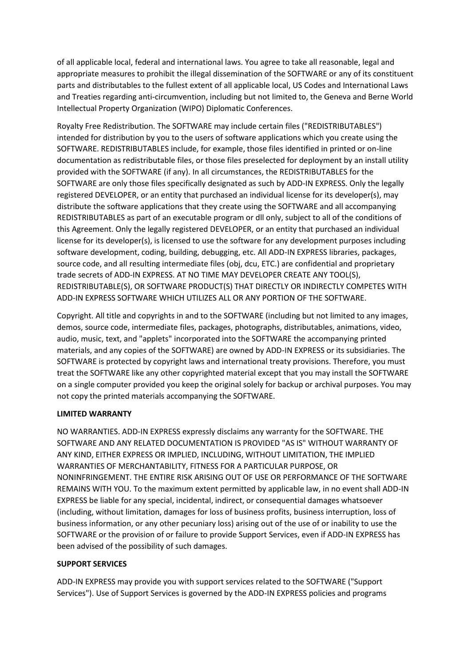of all applicable local, federal and international laws. You agree to take all reasonable, legal and appropriate measures to prohibit the illegal dissemination of the SOFTWARE or any of its constituent parts and distributables to the fullest extent of all applicable local, US Codes and International Laws and Treaties regarding anti-circumvention, including but not limited to, the Geneva and Berne World Intellectual Property Organization (WIPO) Diplomatic Conferences.

Royalty Free Redistribution. The SOFTWARE may include certain files ("REDISTRIBUTABLES") intended for distribution by you to the users of software applications which you create using the SOFTWARE. REDISTRIBUTABLES include, for example, those files identified in printed or on-line documentation as redistributable files, or those files preselected for deployment by an install utility provided with the SOFTWARE (if any). In all circumstances, the REDISTRIBUTABLES for the SOFTWARE are only those files specifically designated as such by ADD-IN EXPRESS. Only the legally registered DEVELOPER, or an entity that purchased an individual license for its developer(s), may distribute the software applications that they create using the SOFTWARE and all accompanying REDISTRIBUTABLES as part of an executable program or dll only, subject to all of the conditions of this Agreement. Only the legally registered DEVELOPER, or an entity that purchased an individual license for its developer(s), is licensed to use the software for any development purposes including software development, coding, building, debugging, etc. All ADD-IN EXPRESS libraries, packages, source code, and all resulting intermediate files (obj, dcu, ETC.) are confidential and proprietary trade secrets of ADD-IN EXPRESS. AT NO TIME MAY DEVELOPER CREATE ANY TOOL(S), REDISTRIBUTABLE(S), OR SOFTWARE PRODUCT(S) THAT DIRECTLY OR INDIRECTLY COMPETES WITH ADD-IN EXPRESS SOFTWARE WHICH UTILIZES ALL OR ANY PORTION OF THE SOFTWARE.

Copyright. All title and copyrights in and to the SOFTWARE (including but not limited to any images, demos, source code, intermediate files, packages, photographs, distributables, animations, video, audio, music, text, and "applets" incorporated into the SOFTWARE the accompanying printed materials, and any copies of the SOFTWARE) are owned by ADD-IN EXPRESS or its subsidiaries. The SOFTWARE is protected by copyright laws and international treaty provisions. Therefore, you must treat the SOFTWARE like any other copyrighted material except that you may install the SOFTWARE on a single computer provided you keep the original solely for backup or archival purposes. You may not copy the printed materials accompanying the SOFTWARE.

# **LIMITED WARRANTY**

NO WARRANTIES. ADD-IN EXPRESS expressly disclaims any warranty for the SOFTWARE. THE SOFTWARE AND ANY RELATED DOCUMENTATION IS PROVIDED "AS IS" WITHOUT WARRANTY OF ANY KIND, EITHER EXPRESS OR IMPLIED, INCLUDING, WITHOUT LIMITATION, THE IMPLIED WARRANTIES OF MERCHANTABILITY, FITNESS FOR A PARTICULAR PURPOSE, OR NONINFRINGEMENT. THE ENTIRE RISK ARISING OUT OF USE OR PERFORMANCE OF THE SOFTWARE REMAINS WITH YOU. To the maximum extent permitted by applicable law, in no event shall ADD-IN EXPRESS be liable for any special, incidental, indirect, or consequential damages whatsoever (including, without limitation, damages for loss of business profits, business interruption, loss of business information, or any other pecuniary loss) arising out of the use of or inability to use the SOFTWARE or the provision of or failure to provide Support Services, even if ADD-IN EXPRESS has been advised of the possibility of such damages.

# **SUPPORT SERVICES**

ADD-IN EXPRESS may provide you with support services related to the SOFTWARE ("Support Services"). Use of Support Services is governed by the ADD-IN EXPRESS policies and programs